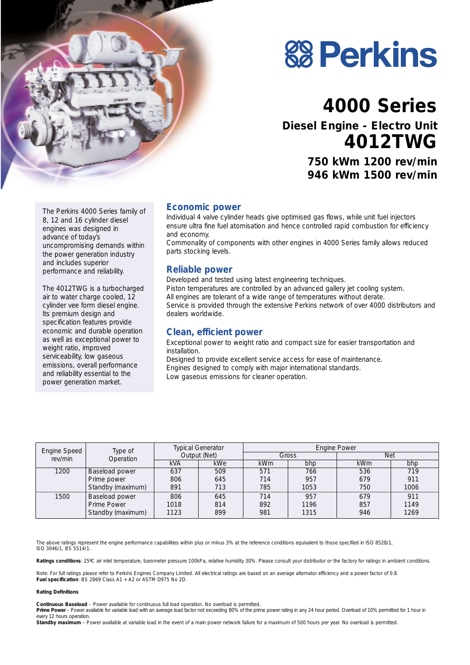



# **4000 Series**

**Diesel Engine - Electro Unit 4012TWG**

> **750 kWm 1200 rev/min 946 kWm 1500 rev/min**

The Perkins 4000 Series family of 8, 12 and 16 cylinder diesel engines was designed in advance of today's uncompromising demands within the power generation industry and includes superior performance and reliability.

The 4012TWG is a turbocharged air to water charge cooled, 12 cylinder vee form diesel engine. Its premium design and specification features provide economic and durable operation as well as exceptional power to weight ratio, improved serviceability, low gaseous emissions, overall performance and reliability essential to the power generation market.

#### **Economic power**

Individual 4 valve cylinder heads give optimised gas flows, while unit fuel injectors ensure ultra fine fuel atomisation and hence controlled rapid combustion for efficiency and economy.

Commonality of components with other engines in 4000 Series family allows reduced parts stocking levels.

#### **Reliable power**

Developed and tested using latest engineering techniques. Piston temperatures are controlled by an advanced gallery jet cooling system. All engines are tolerant of a wide range of temperatures without derate. Service is provided through the extensive Perkins network of over 4000 distributors and dealers worldwide.

#### **Clean, efficient power**

Exceptional power to weight ratio and compact size for easier transportation and installation.

Designed to provide excellent service access for ease of maintenance. Engines designed to comply with major international standards. Low gaseous emissions for cleaner operation.

| Engine Speed | Type of<br>Operation | <b>Typical Generator</b><br>Output (Net) |     | <b>Engine Power</b> |      |            |      |
|--------------|----------------------|------------------------------------------|-----|---------------------|------|------------|------|
| rev/min      |                      |                                          |     | Gross               |      | <b>Net</b> |      |
|              |                      | kVA                                      | kWe | <b>kWm</b>          | bhp  | <b>kWm</b> | bhp  |
| 1200         | Baseload power       | 637                                      | 509 | 571                 | 766  | 536        | 719  |
|              | Prime power          | 806                                      | 645 | 714                 | 957  | 679        | 911  |
|              | Standby (maximum)    | 891                                      | 713 | 785                 | 1053 | 750        | 1006 |
| 1500         | Baseload power       | 806                                      | 645 | 714                 | 957  | 679        | 911  |
|              | Prime Power          | 1018                                     | 814 | 892                 | 1196 | 857        | 1149 |
|              | Standby (maximum)    | 1123                                     | 899 | 981                 | 1315 | 946        | 1269 |

The above ratings represent the engine performance capabilities within plus or minus 3% at the reference conditions equivalent to those specified in ISO 8528/1, ISO 3046/1, BS 5514/1.

Ratings conditions: 25°C air inlet temperature, barometer pressure 100kPa, relative humidity 30%. Please consult your distributor or the factory for ratings in ambient conditions.

*Note:* For full ratings please refer to Perkins Engines Company Limited. All electrical ratings are based on an average alternator efficiency and a power factor of 0.8. **Fuel specification**: BS 2869 Class A1 + A2 or ASTM D975 No 2D.

#### **Rating Definitions**

**Continuous Baseload** – Power available for continuous full load operation. No overload is permitted.

Prime Power – Power available for variable load with an average load factor not exceeding 80% of the prime power rating in any 24 hour period. Overload of 10% permitted for 1 hour in every 12 hours operation.

Standby maximum - Power available at variable load in the event of a main power network failure for a maximum of 500 hours per year. No overload is permitted.